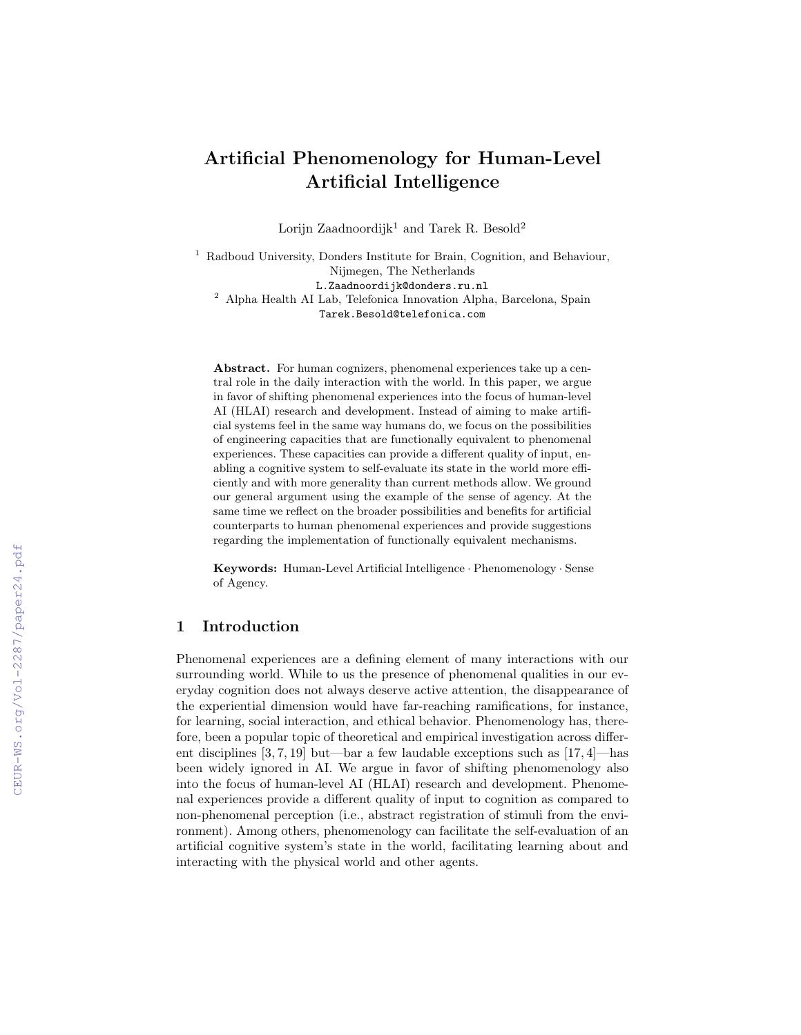# Artificial Phenomenology for Human-Level Artificial Intelligence

Lorijn Zaadnoordijk<sup>1</sup> and Tarek R. Besold<sup>2</sup>

<sup>1</sup> Radboud University, Donders Institute for Brain, Cognition, and Behaviour, Nijmegen, The Netherlands L.Zaadnoordijk@donders.ru.nl

<sup>2</sup> Alpha Health AI Lab, Telefonica Innovation Alpha, Barcelona, Spain Tarek.Besold@telefonica.com

Abstract. For human cognizers, phenomenal experiences take up a central role in the daily interaction with the world. In this paper, we argue in favor of shifting phenomenal experiences into the focus of human-level AI (HLAI) research and development. Instead of aiming to make artificial systems feel in the same way humans do, we focus on the possibilities of engineering capacities that are functionally equivalent to phenomenal experiences. These capacities can provide a different quality of input, enabling a cognitive system to self-evaluate its state in the world more efficiently and with more generality than current methods allow. We ground our general argument using the example of the sense of agency. At the same time we reflect on the broader possibilities and benefits for artificial counterparts to human phenomenal experiences and provide suggestions regarding the implementation of functionally equivalent mechanisms.

Keywords: Human-Level Artificial Intelligence · Phenomenology · Sense of Agency.

## 1 Introduction

Phenomenal experiences are a defining element of many interactions with our surrounding world. While to us the presence of phenomenal qualities in our everyday cognition does not always deserve active attention, the disappearance of the experiential dimension would have far-reaching ramifications, for instance, for learning, social interaction, and ethical behavior. Phenomenology has, therefore, been a popular topic of theoretical and empirical investigation across different disciplines [3, 7, 19] but—bar a few laudable exceptions such as [17, 4]—has been widely ignored in AI. We argue in favor of shifting phenomenology also into the focus of human-level AI (HLAI) research and development. Phenomenal experiences provide a different quality of input to cognition as compared to non-phenomenal perception (i.e., abstract registration of stimuli from the environment). Among others, phenomenology can facilitate the self-evaluation of an artificial cognitive system's state in the world, facilitating learning about and interacting with the physical world and other agents.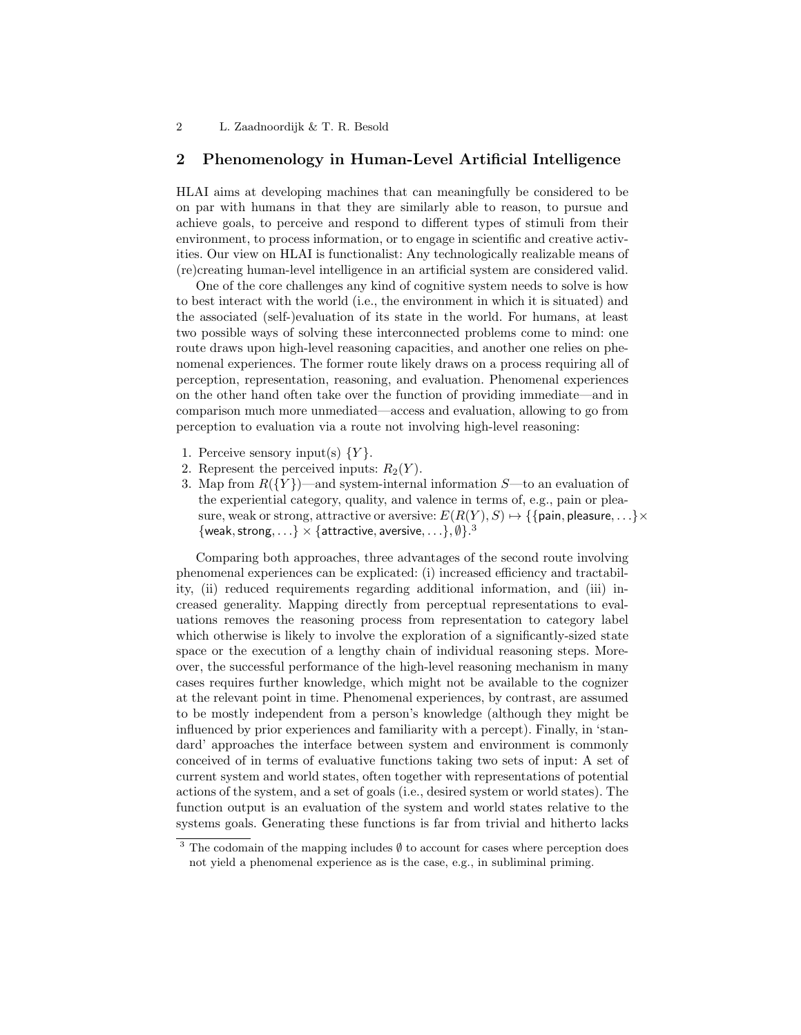#### 2 Phenomenology in Human-Level Artificial Intelligence

HLAI aims at developing machines that can meaningfully be considered to be on par with humans in that they are similarly able to reason, to pursue and achieve goals, to perceive and respond to different types of stimuli from their environment, to process information, or to engage in scientific and creative activities. Our view on HLAI is functionalist: Any technologically realizable means of (re)creating human-level intelligence in an artificial system are considered valid.

One of the core challenges any kind of cognitive system needs to solve is how to best interact with the world (i.e., the environment in which it is situated) and the associated (self-)evaluation of its state in the world. For humans, at least two possible ways of solving these interconnected problems come to mind: one route draws upon high-level reasoning capacities, and another one relies on phenomenal experiences. The former route likely draws on a process requiring all of perception, representation, reasoning, and evaluation. Phenomenal experiences on the other hand often take over the function of providing immediate—and in comparison much more unmediated—access and evaluation, allowing to go from perception to evaluation via a route not involving high-level reasoning:

- 1. Perceive sensory input(s)  $\{Y\}$ .
- 2. Represent the perceived inputs:  $R_2(Y)$ .
- 3. Map from  $R({Y})$ —and system-internal information S—to an evaluation of the experiential category, quality, and valence in terms of, e.g., pain or pleasure, weak or strong, attractive or aversive:  $E(R(Y), S) \mapsto \{\{\text{pain}, \text{pleaseure}, ...\} \times$  $\{\text{weak}, \text{strong}, \ldots\} \times \{\text{attractive}, \text{average}, \ldots\}, \emptyset\}.^3$

Comparing both approaches, three advantages of the second route involving phenomenal experiences can be explicated: (i) increased efficiency and tractability, (ii) reduced requirements regarding additional information, and (iii) increased generality. Mapping directly from perceptual representations to evaluations removes the reasoning process from representation to category label which otherwise is likely to involve the exploration of a significantly-sized state space or the execution of a lengthy chain of individual reasoning steps. Moreover, the successful performance of the high-level reasoning mechanism in many cases requires further knowledge, which might not be available to the cognizer at the relevant point in time. Phenomenal experiences, by contrast, are assumed to be mostly independent from a person's knowledge (although they might be influenced by prior experiences and familiarity with a percept). Finally, in 'standard' approaches the interface between system and environment is commonly conceived of in terms of evaluative functions taking two sets of input: A set of current system and world states, often together with representations of potential actions of the system, and a set of goals (i.e., desired system or world states). The function output is an evaluation of the system and world states relative to the systems goals. Generating these functions is far from trivial and hitherto lacks

<sup>&</sup>lt;sup>3</sup> The codomain of the mapping includes  $\emptyset$  to account for cases where perception does not yield a phenomenal experience as is the case, e.g., in subliminal priming.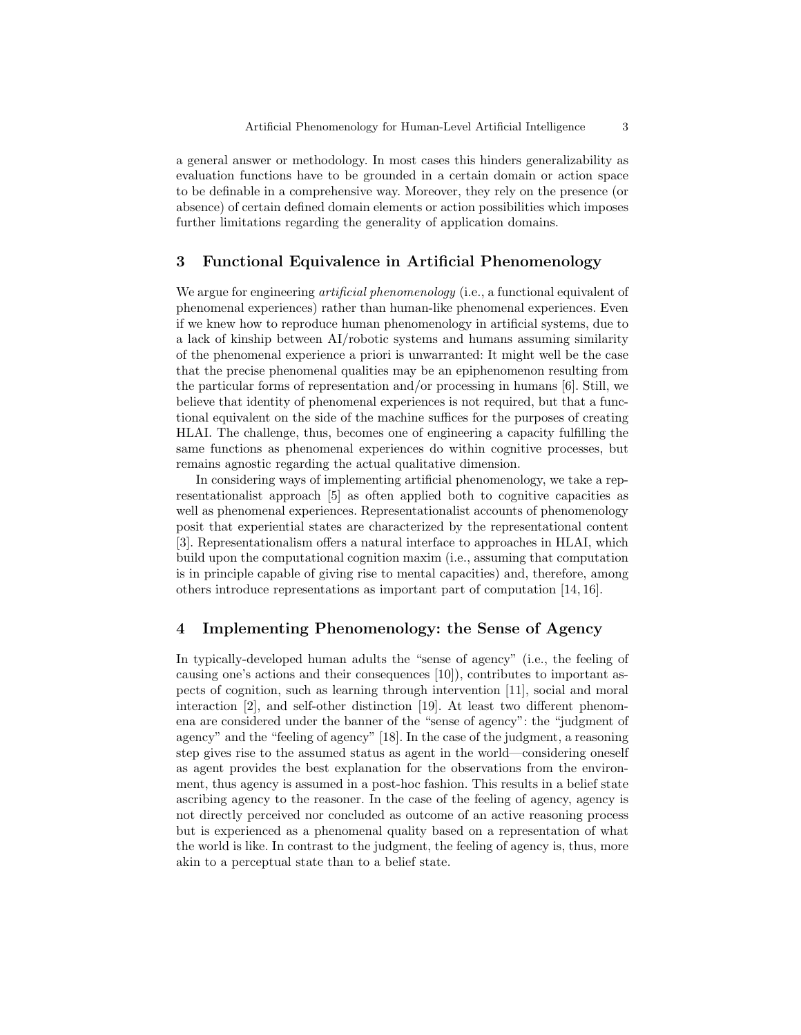a general answer or methodology. In most cases this hinders generalizability as evaluation functions have to be grounded in a certain domain or action space to be definable in a comprehensive way. Moreover, they rely on the presence (or absence) of certain defined domain elements or action possibilities which imposes further limitations regarding the generality of application domains.

### 3 Functional Equivalence in Artificial Phenomenology

We argue for engineering *artificial phenomenology* (i.e., a functional equivalent of phenomenal experiences) rather than human-like phenomenal experiences. Even if we knew how to reproduce human phenomenology in artificial systems, due to a lack of kinship between AI/robotic systems and humans assuming similarity of the phenomenal experience a priori is unwarranted: It might well be the case that the precise phenomenal qualities may be an epiphenomenon resulting from the particular forms of representation and/or processing in humans [6]. Still, we believe that identity of phenomenal experiences is not required, but that a functional equivalent on the side of the machine suffices for the purposes of creating HLAI. The challenge, thus, becomes one of engineering a capacity fulfilling the same functions as phenomenal experiences do within cognitive processes, but remains agnostic regarding the actual qualitative dimension.

In considering ways of implementing artificial phenomenology, we take a representationalist approach [5] as often applied both to cognitive capacities as well as phenomenal experiences. Representationalist accounts of phenomenology posit that experiential states are characterized by the representational content [3]. Representationalism offers a natural interface to approaches in HLAI, which build upon the computational cognition maxim (i.e., assuming that computation is in principle capable of giving rise to mental capacities) and, therefore, among others introduce representations as important part of computation [14, 16].

### 4 Implementing Phenomenology: the Sense of Agency

In typically-developed human adults the "sense of agency" (i.e., the feeling of causing one's actions and their consequences [10]), contributes to important aspects of cognition, such as learning through intervention [11], social and moral interaction [2], and self-other distinction [19]. At least two different phenomena are considered under the banner of the "sense of agency": the "judgment of agency" and the "feeling of agency" [18]. In the case of the judgment, a reasoning step gives rise to the assumed status as agent in the world—considering oneself as agent provides the best explanation for the observations from the environment, thus agency is assumed in a post-hoc fashion. This results in a belief state ascribing agency to the reasoner. In the case of the feeling of agency, agency is not directly perceived nor concluded as outcome of an active reasoning process but is experienced as a phenomenal quality based on a representation of what the world is like. In contrast to the judgment, the feeling of agency is, thus, more akin to a perceptual state than to a belief state.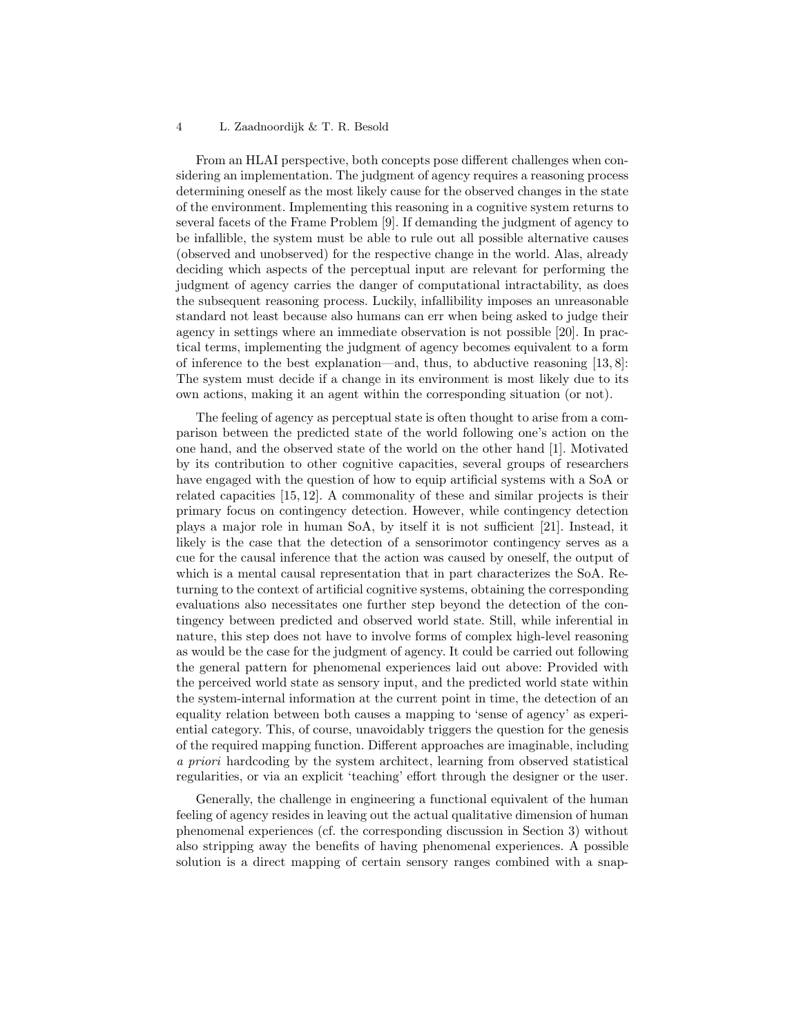#### 4 L. Zaadnoordijk & T. R. Besold

From an HLAI perspective, both concepts pose different challenges when considering an implementation. The judgment of agency requires a reasoning process determining oneself as the most likely cause for the observed changes in the state of the environment. Implementing this reasoning in a cognitive system returns to several facets of the Frame Problem [9]. If demanding the judgment of agency to be infallible, the system must be able to rule out all possible alternative causes (observed and unobserved) for the respective change in the world. Alas, already deciding which aspects of the perceptual input are relevant for performing the judgment of agency carries the danger of computational intractability, as does the subsequent reasoning process. Luckily, infallibility imposes an unreasonable standard not least because also humans can err when being asked to judge their agency in settings where an immediate observation is not possible [20]. In practical terms, implementing the judgment of agency becomes equivalent to a form of inference to the best explanation—and, thus, to abductive reasoning [13, 8]: The system must decide if a change in its environment is most likely due to its own actions, making it an agent within the corresponding situation (or not).

The feeling of agency as perceptual state is often thought to arise from a comparison between the predicted state of the world following one's action on the one hand, and the observed state of the world on the other hand [1]. Motivated by its contribution to other cognitive capacities, several groups of researchers have engaged with the question of how to equip artificial systems with a SoA or related capacities [15, 12]. A commonality of these and similar projects is their primary focus on contingency detection. However, while contingency detection plays a major role in human SoA, by itself it is not sufficient [21]. Instead, it likely is the case that the detection of a sensorimotor contingency serves as a cue for the causal inference that the action was caused by oneself, the output of which is a mental causal representation that in part characterizes the SoA. Returning to the context of artificial cognitive systems, obtaining the corresponding evaluations also necessitates one further step beyond the detection of the contingency between predicted and observed world state. Still, while inferential in nature, this step does not have to involve forms of complex high-level reasoning as would be the case for the judgment of agency. It could be carried out following the general pattern for phenomenal experiences laid out above: Provided with the perceived world state as sensory input, and the predicted world state within the system-internal information at the current point in time, the detection of an equality relation between both causes a mapping to 'sense of agency' as experiential category. This, of course, unavoidably triggers the question for the genesis of the required mapping function. Different approaches are imaginable, including a priori hardcoding by the system architect, learning from observed statistical regularities, or via an explicit 'teaching' effort through the designer or the user.

Generally, the challenge in engineering a functional equivalent of the human feeling of agency resides in leaving out the actual qualitative dimension of human phenomenal experiences (cf. the corresponding discussion in Section 3) without also stripping away the benefits of having phenomenal experiences. A possible solution is a direct mapping of certain sensory ranges combined with a snap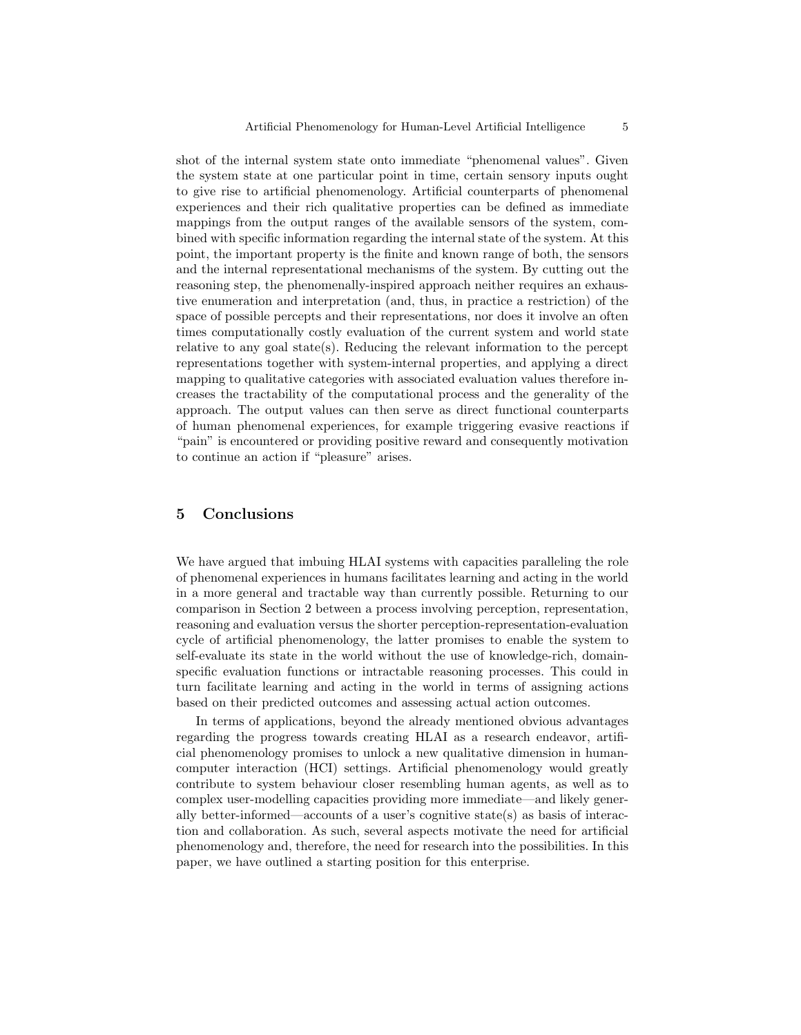shot of the internal system state onto immediate "phenomenal values". Given the system state at one particular point in time, certain sensory inputs ought to give rise to artificial phenomenology. Artificial counterparts of phenomenal experiences and their rich qualitative properties can be defined as immediate mappings from the output ranges of the available sensors of the system, combined with specific information regarding the internal state of the system. At this point, the important property is the finite and known range of both, the sensors and the internal representational mechanisms of the system. By cutting out the reasoning step, the phenomenally-inspired approach neither requires an exhaustive enumeration and interpretation (and, thus, in practice a restriction) of the space of possible percepts and their representations, nor does it involve an often times computationally costly evaluation of the current system and world state relative to any goal state(s). Reducing the relevant information to the percept representations together with system-internal properties, and applying a direct mapping to qualitative categories with associated evaluation values therefore increases the tractability of the computational process and the generality of the approach. The output values can then serve as direct functional counterparts of human phenomenal experiences, for example triggering evasive reactions if "pain" is encountered or providing positive reward and consequently motivation to continue an action if "pleasure" arises.

### 5 Conclusions

We have argued that imbuing HLAI systems with capacities paralleling the role of phenomenal experiences in humans facilitates learning and acting in the world in a more general and tractable way than currently possible. Returning to our comparison in Section 2 between a process involving perception, representation, reasoning and evaluation versus the shorter perception-representation-evaluation cycle of artificial phenomenology, the latter promises to enable the system to self-evaluate its state in the world without the use of knowledge-rich, domainspecific evaluation functions or intractable reasoning processes. This could in turn facilitate learning and acting in the world in terms of assigning actions based on their predicted outcomes and assessing actual action outcomes.

In terms of applications, beyond the already mentioned obvious advantages regarding the progress towards creating HLAI as a research endeavor, artificial phenomenology promises to unlock a new qualitative dimension in humancomputer interaction (HCI) settings. Artificial phenomenology would greatly contribute to system behaviour closer resembling human agents, as well as to complex user-modelling capacities providing more immediate—and likely generally better-informed—accounts of a user's cognitive state(s) as basis of interaction and collaboration. As such, several aspects motivate the need for artificial phenomenology and, therefore, the need for research into the possibilities. In this paper, we have outlined a starting position for this enterprise.